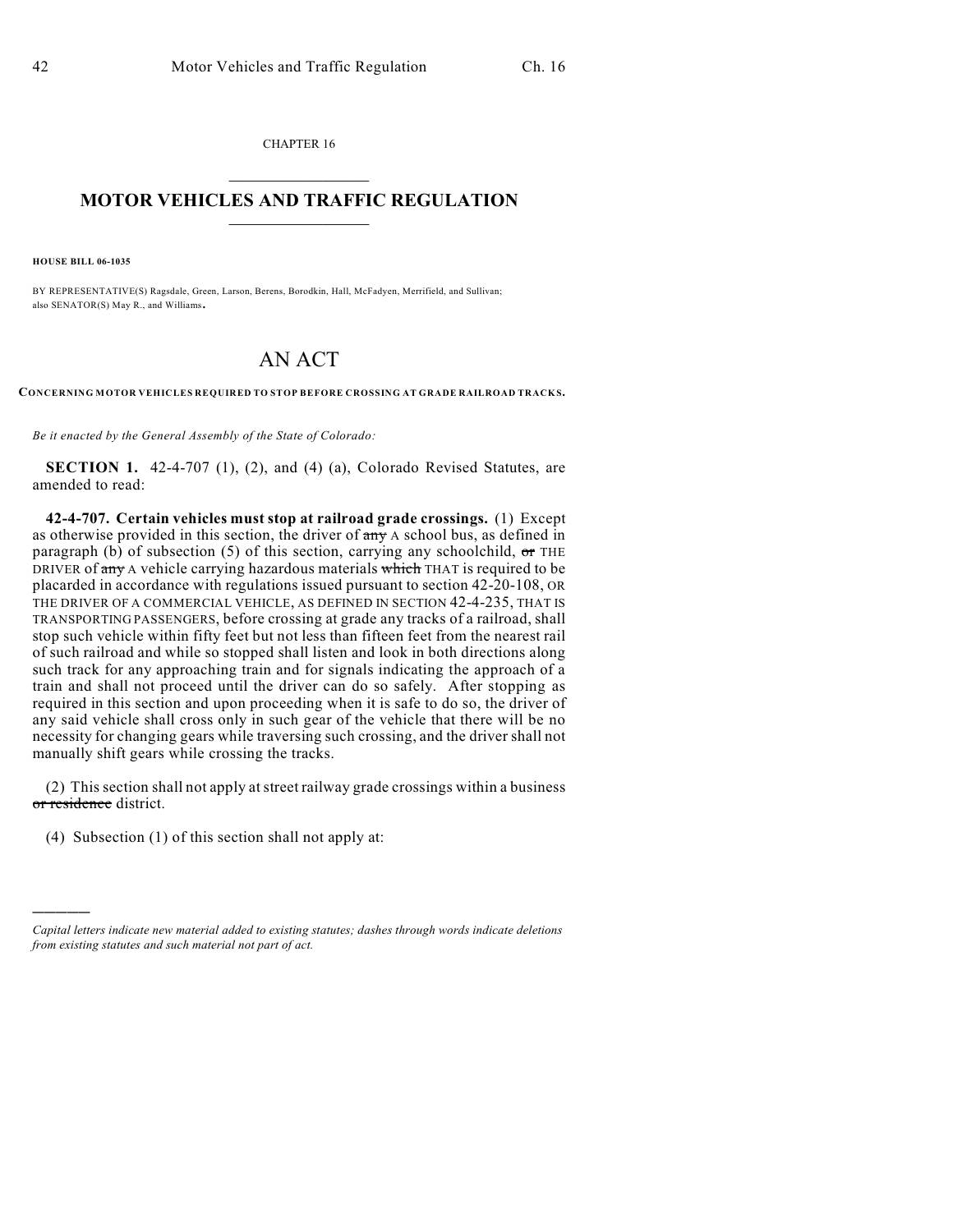CHAPTER 16  $\mathcal{L}_\text{max}$  . The set of the set of the set of the set of the set of the set of the set of the set of the set of the set of the set of the set of the set of the set of the set of the set of the set of the set of the set

## **MOTOR VEHICLES AND TRAFFIC REGULATION**  $\frac{1}{2}$  ,  $\frac{1}{2}$  ,  $\frac{1}{2}$  ,  $\frac{1}{2}$  ,  $\frac{1}{2}$  ,  $\frac{1}{2}$  ,  $\frac{1}{2}$  ,  $\frac{1}{2}$

**HOUSE BILL 06-1035**

)))))

BY REPRESENTATIVE(S) Ragsdale, Green, Larson, Berens, Borodkin, Hall, McFadyen, Merrifield, and Sullivan; also SENATOR(S) May R., and Williams.

## AN ACT

**CONCERNING MOTOR VEHICLES REQUIRED TO STOP BEFORE CROSSING AT GRADE RAILROAD TRACK S.**

*Be it enacted by the General Assembly of the State of Colorado:*

**SECTION 1.** 42-4-707 (1), (2), and (4) (a), Colorado Revised Statutes, are amended to read:

**42-4-707. Certain vehicles must stop at railroad grade crossings.** (1) Except as otherwise provided in this section, the driver of any A school bus, as defined in paragraph (b) of subsection (5) of this section, carrying any schoolchild,  $\sigma$ r THE DRIVER of any A vehicle carrying hazardous materials which THAT is required to be placarded in accordance with regulations issued pursuant to section 42-20-108, OR THE DRIVER OF A COMMERCIAL VEHICLE, AS DEFINED IN SECTION 42-4-235, THAT IS TRANSPORTING PASSENGERS, before crossing at grade any tracks of a railroad, shall stop such vehicle within fifty feet but not less than fifteen feet from the nearest rail of such railroad and while so stopped shall listen and look in both directions along such track for any approaching train and for signals indicating the approach of a train and shall not proceed until the driver can do so safely. After stopping as required in this section and upon proceeding when it is safe to do so, the driver of any said vehicle shall cross only in such gear of the vehicle that there will be no necessity for changing gears while traversing such crossing, and the driver shall not manually shift gears while crossing the tracks.

(2) This section shall not apply at street railway grade crossings within a business or residence district.

(4) Subsection (1) of this section shall not apply at:

*Capital letters indicate new material added to existing statutes; dashes through words indicate deletions from existing statutes and such material not part of act.*